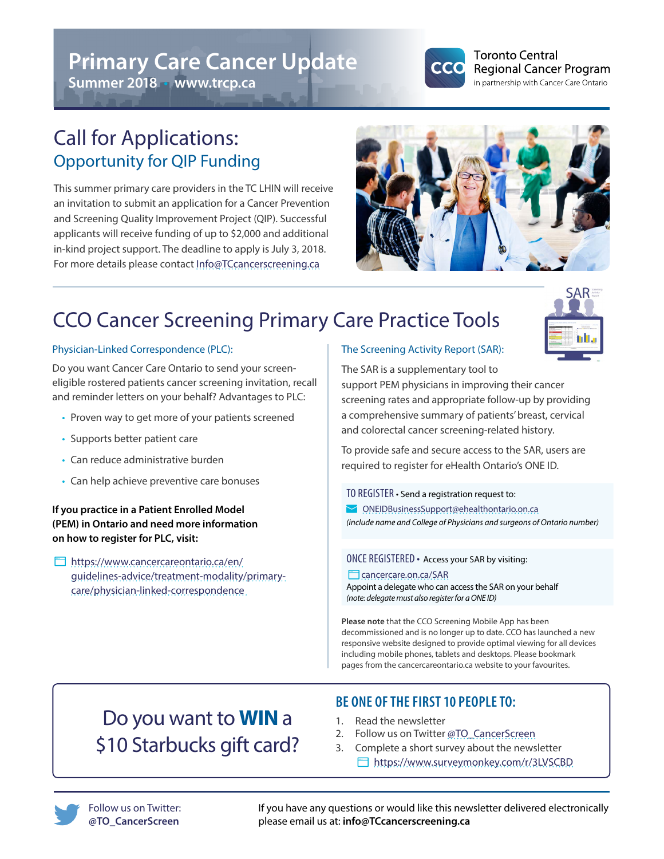# **Primary Care Cancer Update**

**Summer 2018** • **www.trcp.ca**



#### **Toronto Central Regional Cancer Program** in partnership with Cancer Care Ontario

## Call for Applications: Opportunity for QIP Funding

This summer primary care providers in the TC LHIN will receive an invitation to submit an application for a Cancer Prevention and Screening Quality Improvement Project (QIP). Successful applicants will receive funding of up to \$2,000 and additional in-kind project support. The deadline to apply is July 3, 2018. For more details please contact [Info@TCcancerscreening.ca](mailto:Info%40TCcancerscreening.ca?subject=)



# CCO Cancer Screening Primary Care Practice Tools



### Physician-Linked Correspondence (PLC):

Do you want Cancer Care Ontario to send your screeneligible rostered patients cancer screening invitation, recall and reminder letters on your behalf? Advantages to PLC:

- Proven way to get more of your patients screened
- Supports better patient care
- Can reduce administrative burden
- Can help achieve preventive care bonuses

**If you practice in a Patient Enrolled Model (PEM) in Ontario and need more information on how to register for PLC, visit:**

 [https://www.cancercareontario.ca/en/](https://www.cancercareontario.ca/en/guidelines-advice/treatment-modality/primary-care/physician-linked-correspondence ) [guidelines-advice/treatment-modality/primary](https://www.cancercareontario.ca/en/guidelines-advice/treatment-modality/primary-care/physician-linked-correspondence )[care/physician-linked-correspondence](https://www.cancercareontario.ca/en/guidelines-advice/treatment-modality/primary-care/physician-linked-correspondence ) 

#### The Screening Activity Report (SAR):

The SAR is a supplementary tool to support PEM physicians in improving their cancer [screening rates and appropriate follow-up by providing](mailto:ONEIDBusinessSupport%40ehealthontario.on.ca?subject=)  a comprehensive summary of patients' breast, cervical and colorectal cancer screening-related history.

To provide safe and secure access to the SAR, users are required to register for eHealth Ontario's ONE ID.

TO REGISTER • Send a registration request to:

 [ONEIDBusinessSupport@ehealthontario.on.ca](mailto:ONEIDBusinessSupport%40ehealthontario.on.ca?subject=) *(include name and College of Physicians and surgeons of Ontario number)*

ONCE REGISTERED • Access your SAR by visiting:

#### **Cancercare.on.ca/SAR**

Appoint a delegate who can access the SAR on your behalf *(note: delegate must also register for a ONE ID)*

**Please note** that the CCO Screening Mobile App has been decommissioned and is no longer up to date. CCO has launched a new responsive website designed to provide optimal viewing for all devices including mobile phones, tablets and desktops. Please bookmark pages from the cancercareontario.ca website to your favourites.

## Do you want to **WIN** a \$10 Starbucks gift card?

### **BE ONE OF THE FIRST 10 PEOPLE TO:**

- 1. Read the newsletter
- 2. Follow us on Twitter [@TO\\_CancerScreen](https://twitter.com/TO_CancerScreen)
- 3. Complete a short survey about the newsletter <https://www.surveymonkey.com/r/3LVSCBD>



If you have any questions or would like this newsletter delivered electronically please email us at: **info@TCcancerscreening.ca**